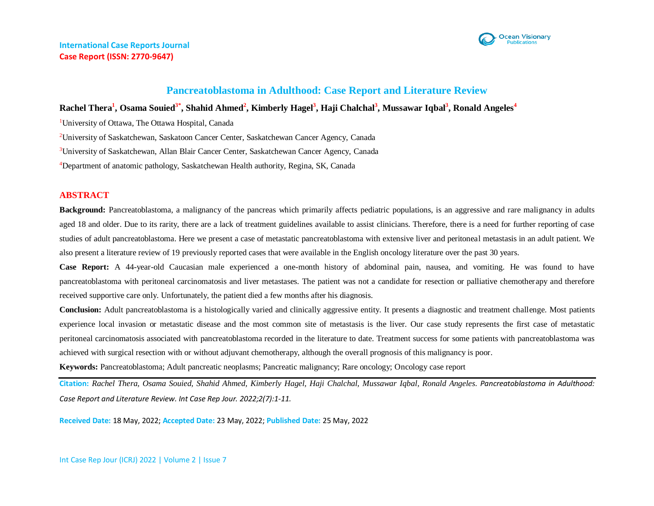# **Pancreatoblastoma in Adulthood: Case Report and Literature Review**

# **Rachel Thera<sup>1</sup> , Osama Souied3\* , Shahid Ahmed<sup>2</sup> , Kimberly Hagel<sup>3</sup> , Haji Chalchal<sup>3</sup> , Mussawar Iqbal<sup>3</sup> , Ronald Angeles<sup>4</sup>**

<sup>1</sup>University of Ottawa, The Ottawa Hospital, Canada

<sup>2</sup>University of Saskatchewan, Saskatoon Cancer Center, Saskatchewan Cancer Agency, Canada

<sup>3</sup>University of Saskatchewan, Allan Blair Cancer Center, Saskatchewan Cancer Agency, Canada

<sup>4</sup>Department of anatomic pathology, Saskatchewan Health authority, Regina, SK, Canada

## **ABSTRACT**

**Background:** Pancreatoblastoma, a malignancy of the pancreas which primarily affects pediatric populations, is an aggressive and rare malignancy in adults aged 18 and older. Due to its rarity, there are a lack of treatment guidelines available to assist clinicians. Therefore, there is a need for further reporting of case studies of adult pancreatoblastoma. Here we present a case of metastatic pancreatoblastoma with extensive liver and peritoneal metastasis in an adult patient. We also present a literature review of 19 previously reported cases that were available in the English oncology literature over the past 30 years.

**Case Report:** A 44-year-old Caucasian male experienced a one-month history of abdominal pain, nausea, and vomiting. He was found to have pancreatoblastoma with peritoneal carcinomatosis and liver metastases. The patient was not a candidate for resection or palliative chemotherapy and therefore received supportive care only. Unfortunately, the patient died a few months after his diagnosis.

Conclusion: Adult pancreatoblastoma is a histologically varied and clinically aggressive entity. It presents a diagnostic and treatment challenge. Most patients experience local invasion or metastatic disease and the most common site of metastasis is the liver. Our case study represents the first case of metastatic peritoneal carcinomatosis associated with pancreatoblastoma recorded in the literature to date. Treatment success for some patients with pancreatoblastoma was achieved with surgical resection with or without adjuvant chemotherapy, although the overall prognosis of this malignancy is poor.

**Keywords:** Pancreatoblastoma; Adult pancreatic neoplasms; Pancreatic malignancy; Rare oncology; Oncology case report

**Citation:** *Rachel Thera, Osama Souied, Shahid Ahmed, Kimberly Hagel, Haji Chalchal, Mussawar Iqbal, Ronald Angeles. Pancreatoblastoma in Adulthood: Case Report and Literature Review. Int Case Rep Jour. 2022;2(7):1-11.*

**Received Date:** 18 May, 2022; **Accepted Date:** 23 May, 2022; **Published Date:** 25 May, 2022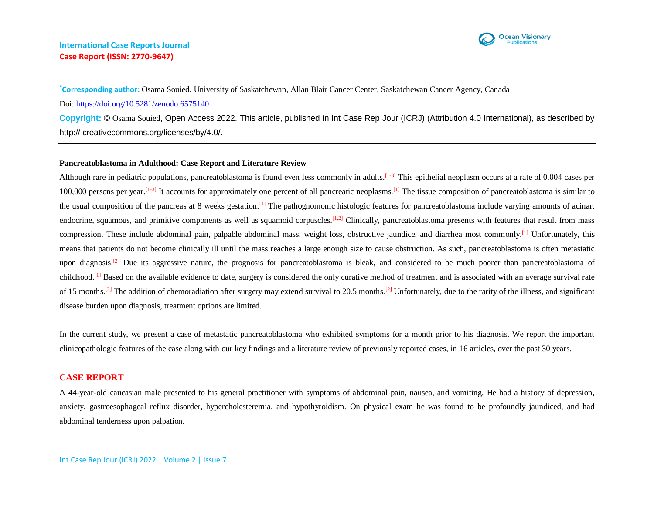

**\*Corresponding author:** Osama Souied. University of Saskatchewan, Allan Blair Cancer Center, Saskatchewan Cancer Agency, Canada Doi:<https://doi.org/10.5281/zenodo.6575140> **Copyright:** © Osama Souied, Open Access 2022. This article, published in Int Case Rep Jour (ICRJ) (Attribution 4.0 International), as described by http:// creativecommons.org/licenses/by/4.0/.

### **Pancreatoblastoma in Adulthood: Case Report and Literature Review**

Although rare in pediatric populations, pancreatoblastoma is found even less commonly in adults.<sup>[1-3]</sup> This epithelial neoplasm occurs at a rate of 0.004 cases per 100,000 persons per year.<sup>[1-3]</sup> It accounts for approximately one percent of all pancreatic neoplasms.<sup>[1]</sup> The tissue composition of pancreatoblastoma is similar to the usual composition of the pancreas at 8 weeks gestation.<sup>[1]</sup> The pathognomonic histologic features for pancreatoblastoma include varying amounts of acinar, endocrine, squamous, and primitive components as well as squamoid corpuscles.<sup>[1,2]</sup> Clinically, pancreatoblastoma presents with features that result from mass compression. These include abdominal pain, palpable abdominal mass, weight loss, obstructive jaundice, and diarrhea most commonly.<sup>[1]</sup> Unfortunately, this means that patients do not become clinically ill until the mass reaches a large enough size to cause obstruction. As such, pancreatoblastoma is often metastatic upon diagnosis.<sup>[2]</sup> Due its aggressive nature, the prognosis for pancreatoblastoma is bleak, and considered to be much poorer than pancreatoblastoma of childhood.<sup>[1]</sup> Based on the available evidence to date, surgery is considered the only curative method of treatment and is associated with an average survival rate of 15 months.<sup>[2]</sup> The addition of chemoradiation after surgery may extend survival to 20.5 months.<sup>[2]</sup> Unfortunately, due to the rarity of the illness, and significant disease burden upon diagnosis, treatment options are limited.

In the current study, we present a case of metastatic pancreatoblastoma who exhibited symptoms for a month prior to his diagnosis. We report the important clinicopathologic features of the case along with our key findings and a literature review of previously reported cases, in 16 articles, over the past 30 years.

## **CASE REPORT**

A 44-year-old caucasian male presented to his general practitioner with symptoms of abdominal pain, nausea, and vomiting. He had a history of depression, anxiety, gastroesophageal reflux disorder, hypercholesteremia, and hypothyroidism. On physical exam he was found to be profoundly jaundiced, and had abdominal tenderness upon palpation.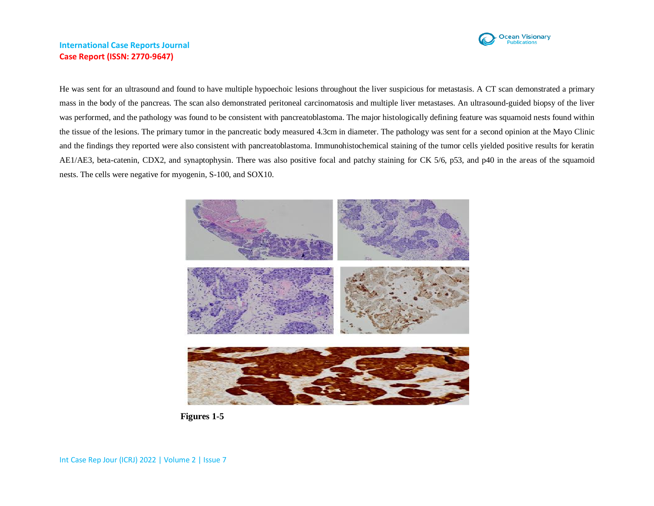

He was sent for an ultrasound and found to have multiple hypoechoic lesions throughout the liver suspicious for metastasis. A CT scan demonstrated a primary mass in the body of the pancreas. The scan also demonstrated peritoneal carcinomatosis and multiple liver metastases. An ultrasound-guided biopsy of the liver was performed, and the pathology was found to be consistent with pancreatoblastoma. The major histologically defining feature was squamoid nests found within the tissue of the lesions. The primary tumor in the pancreatic body measured 4.3cm in diameter. The pathology was sent for a second opinion at the Mayo Clinic and the findings they reported were also consistent with pancreatoblastoma. Immunohistochemical staining of the tumor cells yielded positive results for keratin AE1/AE3, beta-catenin, CDX2, and synaptophysin. There was also positive focal and patchy staining for CK 5/6, p53, and p40 in the areas of the squamoid nests. The cells were negative for myogenin, S-100, and SOX10.



 **Figures 1-5**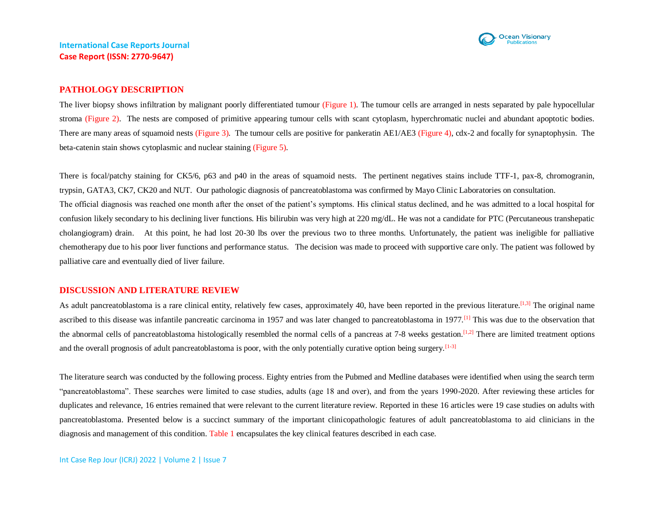

### **PATHOLOGY DESCRIPTION**

The liver biopsy shows infiltration by malignant poorly differentiated tumour (Figure 1). The tumour cells are arranged in nests separated by pale hypocellular stroma (Figure 2). The nests are composed of primitive appearing tumour cells with scant cytoplasm, hyperchromatic nuclei and abundant apoptotic bodies. There are many areas of squamoid nests (Figure 3). The tumour cells are positive for pankeratin AE1/AE3 (Figure 4), cdx-2 and focally for synaptophysin. The beta-catenin stain shows cytoplasmic and nuclear staining (Figure 5).

There is focal/patchy staining for CK5/6, p63 and p40 in the areas of squamoid nests. The pertinent negatives stains include TTF-1, pax-8, chromogranin, trypsin, GATA3, CK7, CK20 and NUT. Our pathologic diagnosis of pancreatoblastoma was confirmed by Mayo Clinic Laboratories on consultation. The official diagnosis was reached one month after the onset of the patient's symptoms. His clinical status declined, and he was admitted to a local hospital for confusion likely secondary to his declining liver functions. His bilirubin was very high at 220 mg/dL. He was not a candidate for PTC (Percutaneous transhepatic cholangiogram) drain. At this point, he had lost 20-30 lbs over the previous two to three months. Unfortunately, the patient was ineligible for palliative chemotherapy due to his poor liver functions and performance status. The decision was made to proceed with supportive care only. The patient was followed by palliative care and eventually died of liver failure.

### **DISCUSSION AND LITERATURE REVIEW**

As adult pancreatoblastoma is a rare clinical entity, relatively few cases, approximately 40, have been reported in the previous literature.<sup>[1,3]</sup> The original name ascribed to this disease was infantile pancreatic carcinoma in 1957 and was later changed to pancreatoblastoma in 1977.<sup>[1]</sup> This was due to the observation that the abnormal cells of pancreatoblastoma histologically resembled the normal cells of a pancreas at  $7-8$  weeks gestation.<sup>[1,2]</sup> There are limited treatment options and the overall prognosis of adult pancreatoblastoma is poor, with the only potentially curative option being surgery. $[1-3]$ 

The literature search was conducted by the following process. Eighty entries from the Pubmed and Medline databases were identified when using the search term "pancreatoblastoma". These searches were limited to case studies, adults (age 18 and over), and from the years 1990-2020. After reviewing these articles for duplicates and relevance, 16 entries remained that were relevant to the current literature review. Reported in these 16 articles were 19 case studies on adults with pancreatoblastoma. Presented below is a succinct summary of the important clinicopathologic features of adult pancreatoblastoma to aid clinicians in the diagnosis and management of this condition. Table 1 encapsulates the key clinical features described in each case.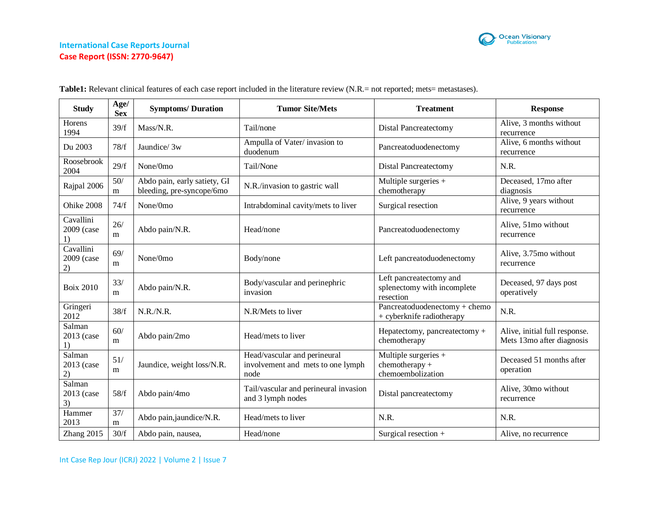

| <b>Study</b>                  | Age/<br><b>Sex</b> | <b>Symptoms/Duration</b>                                  | <b>Tumor Site/Mets</b>                                                    | <b>Treatment</b>                                                    | <b>Response</b>                                            |
|-------------------------------|--------------------|-----------------------------------------------------------|---------------------------------------------------------------------------|---------------------------------------------------------------------|------------------------------------------------------------|
| <b>Horens</b><br>1994         | 39/f               | Mass/N.R.                                                 | Tail/none                                                                 | Distal Pancreatectomy                                               | Alive, 3 months without<br>recurrence                      |
| Du 2003                       | 78/f               | Jaundice/ 3w                                              | Ampulla of Vater/invasion to<br>duodenum                                  | Pancreatoduodenectomy                                               | Alive, 6 months without<br>recurrence                      |
| Roosebrook<br>2004            | 29/f               | None/0mo                                                  | Tail/None                                                                 | <b>Distal Pancreatectomy</b>                                        | N.R.                                                       |
| Rajpal 2006                   | 50/<br>m           | Abdo pain, early satiety, GI<br>bleeding, pre-syncope/6mo | N.R./invasion to gastric wall                                             | Multiple surgeries $+$<br>chemotherapy                              | Deceased, 17mo after<br>diagnosis                          |
| Ohike 2008                    | 74/f               | None/0mo                                                  | Intrabdominal cavity/mets to liver                                        | Surgical resection                                                  | Alive, 9 years without<br>recurrence                       |
| Cavallini<br>2009 (case<br>1) | 26/<br>m           | Abdo pain/N.R.                                            | Head/none                                                                 | Pancreatoduodenectomy                                               | Alive, 51mo without<br>recurrence                          |
| Cavallini<br>2009 (case<br>2) | 69/<br>m           | None/0mo                                                  | Body/none                                                                 | Left pancreatoduodenectomy                                          | Alive, 3.75mo without<br>recurrence                        |
| <b>Boix 2010</b>              | 33/<br>m           | Abdo pain/N.R.                                            | Body/vascular and perinephric<br>invasion                                 | Left pancreatectomy and<br>splenectomy with incomplete<br>resection | Deceased, 97 days post<br>operatively                      |
| Gringeri<br>2012              | 38/f               | N.R./N.R.                                                 | N.R/Mets to liver                                                         | Pancreatoduodenectomy + chemo<br>+ cyberknife radiotherapy          | N.R.                                                       |
| Salman<br>2013 (case<br>1)    | 60/<br>m           | Abdo pain/2mo                                             | Head/mets to liver                                                        | Hepatectomy, pancreatectomy $+$<br>chemotherapy                     | Alive, initial full response.<br>Mets 13mo after diagnosis |
| Salman<br>2013 (case<br>2)    | 51/<br>m           | Jaundice, weight loss/N.R.                                | Head/vascular and perineural<br>involvement and mets to one lymph<br>node | Multiple surgeries +<br>$chemotheray +$<br>chemoembolization        | Deceased 51 months after<br>operation                      |
| Salman<br>2013 (case<br>3)    | 58/f               | Abdo pain/4mo                                             | Tail/vascular and perineural invasion<br>and 3 lymph nodes                | Distal pancreatectomy                                               | Alive, 30mo without<br>recurrence                          |
| Hammer<br>2013                | 37/<br>m           | Abdo pain, jaundice/N.R.                                  | Head/mets to liver                                                        | N.R.                                                                | N.R.                                                       |
| Zhang 2015                    | 30/f               | Abdo pain, nausea,                                        | Head/none                                                                 | Surgical resection +                                                | Alive, no recurrence                                       |

Table1: Relevant clinical features of each case report included in the literature review (N.R.= not reported; mets= metastases).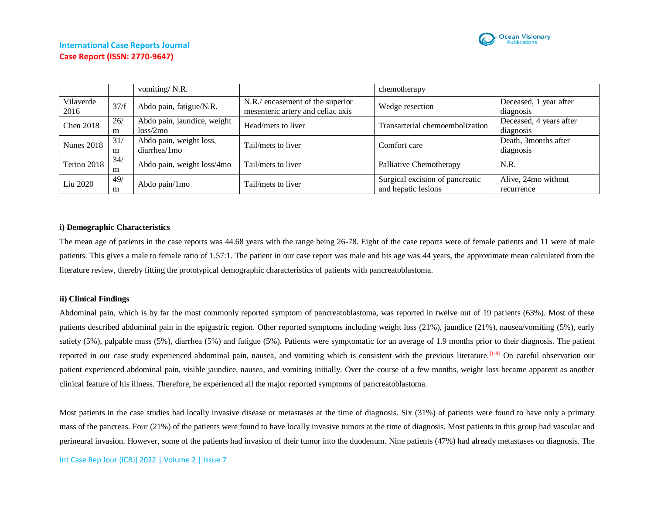

|                   |          | vomiting/N.R.                           |                                                                       | chemotherapy                                           |                                      |
|-------------------|----------|-----------------------------------------|-----------------------------------------------------------------------|--------------------------------------------------------|--------------------------------------|
| Vilaverde<br>2016 | 37/f     | Abdo pain, fatigue/N.R.                 | N.R./ encasement of the superior<br>mesenteric artery and celiac axis | Wedge resection                                        | Deceased, 1 year after<br>diagnosis  |
| <b>Chen 2018</b>  | 26/<br>m | Abdo pain, jaundice, weight<br>loss/2mo | Head/mets to liver                                                    | Transarterial chemoembolization                        | Deceased, 4 years after<br>diagnosis |
| <b>Nunes 2018</b> | 31/<br>m | Abdo pain, weight loss,<br>diarrhea/1mo | Tail/mets to liver                                                    | Comfort care                                           | Death, 3months after<br>diagnosis    |
| Terino 2018       | 34/<br>m | Abdo pain, weight loss/4mo              | Tail/mets to liver                                                    | Palliative Chemotherapy                                | N.R.                                 |
| Liu 2020          | 49/<br>m | Abdo pain/1mo                           | Tail/mets to liver                                                    | Surgical excision of pancreatic<br>and hepatic lesions | Alive, 24mo without<br>recurrence    |

### **i) Demographic Characteristics**

The mean age of patients in the case reports was 44.68 years with the range being 26-78. Eight of the case reports were of female patients and 11 were of male patients. This gives a male to female ratio of 1.57:1. The patient in our case report was male and his age was 44 years, the approximate mean calculated from the literature review, thereby fitting the prototypical demographic characteristics of patients with pancreatoblastoma.

### **ii) Clinical Findings**

Abdominal pain, which is by far the most commonly reported symptom of pancreatoblastoma, was reported in twelve out of 19 patients (63%). Most of these patients described abdominal pain in the epigastric region. Other reported symptoms including weight loss (21%), jaundice (21%), nausea/vomiting (5%), early satiety (5%), palpable mass (5%), diarrhea (5%) and fatigue (5%). Patients were symptomatic for an average of 1.9 months prior to their diagnosis. The patient reported in our case study experienced abdominal pain, nausea, and vomiting which is consistent with the previous literature.<sup>[1-9]</sup> On careful observation our patient experienced abdominal pain, visible jaundice, nausea, and vomiting initially. Over the course of a few months, weight loss became apparent as another clinical feature of his illness. Therefore, he experienced all the major reported symptoms of pancreatoblastoma.

Most patients in the case studies had locally invasive disease or metastases at the time of diagnosis. Six (31%) of patients were found to have only a primary mass of the pancreas. Four (21%) of the patients were found to have locally invasive tumors at the time of diagnosis. Most patients in this group had vascular and perineural invasion. However, some of the patients had invasion of their tumor into the duodenum. Nine patients (47%) had already metastases on diagnosis. The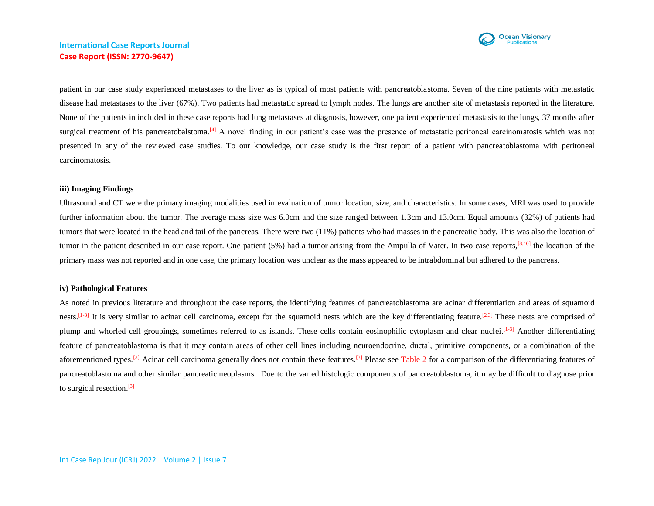

patient in our case study experienced metastases to the liver as is typical of most patients with pancreatoblastoma. Seven of the nine patients with metastatic disease had metastases to the liver (67%). Two patients had metastatic spread to lymph nodes. The lungs are another site of metastasis reported in the literature. None of the patients in included in these case reports had lung metastases at diagnosis, however, one patient experienced metastasis to the lungs, 37 months after surgical treatment of his pancreatobalstoma.<sup>[4]</sup> A novel finding in our patient's case was the presence of metastatic peritoneal carcinomatosis which was not presented in any of the reviewed case studies. To our knowledge, our case study is the first report of a patient with pancreatoblastoma with peritoneal carcinomatosis.

#### **iii) Imaging Findings**

Ultrasound and CT were the primary imaging modalities used in evaluation of tumor location, size, and characteristics. In some cases, MRI was used to provide further information about the tumor. The average mass size was 6.0cm and the size ranged between 1.3cm and 13.0cm. Equal amounts (32%) of patients had tumors that were located in the head and tail of the pancreas. There were two (11%) patients who had masses in the pancreatic body. This was also the location of tumor in the patient described in our case report. One patient  $(5%)$  had a tumor arising from the Ampulla of Vater. In two case reports,  $[8,10]$  the location of the primary mass was not reported and in one case, the primary location was unclear as the mass appeared to be intrabdominal but adhered to the pancreas.

### **iv) Pathological Features**

As noted in previous literature and throughout the case reports, the identifying features of pancreatoblastoma are acinar differentiation and areas of squamoid nests.<sup>[1-3]</sup> It is very similar to acinar cell carcinoma, except for the squamoid nests which are the key differentiating feature.<sup>[2,3]</sup> These nests are comprised of plump and whorled cell groupings, sometimes referred to as islands. These cells contain eosinophilic cytoplasm and clear nuclei.<sup>[1-3]</sup> Another differentiating feature of pancreatoblastoma is that it may contain areas of other cell lines including neuroendocrine, ductal, primitive components, or a combination of the aforementioned types.<sup>[3]</sup> Acinar cell carcinoma generally does not contain these features.<sup>[3]</sup> Please see Table 2 for a comparison of the differentiating features of pancreatoblastoma and other similar pancreatic neoplasms. Due to the varied histologic components of pancreatoblastoma, it may be difficult to diagnose prior to surgical resection.[3]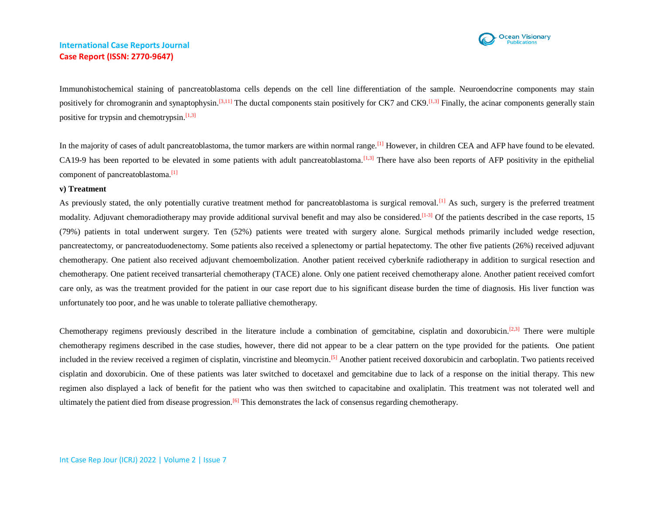

Immunohistochemical staining of pancreatoblastoma cells depends on the cell line differentiation of the sample. Neuroendocrine components may stain positively for chromogranin and synaptophysin.<sup>[3,11]</sup> The ductal components stain positively for CK7 and CK9.<sup>[1,3]</sup> Finally, the acinar components generally stain positive for trypsin and chemotrypsin.<sup>[1,3]</sup>

In the majority of cases of adult pancreatoblastoma, the tumor markers are within normal range.<sup>[1]</sup> However, in children CEA and AFP have found to be elevated. CA19-9 has been reported to be elevated in some patients with adult pancreatoblastoma.<sup>[1,3]</sup> There have also been reports of AFP positivity in the epithelial component of pancreatoblastoma.<sup>[1]</sup>

#### **v) Treatment**

As previously stated, the only potentially curative treatment method for pancreatoblastoma is surgical removal.<sup>[1]</sup> As such, surgery is the preferred treatment modality. Adjuvant chemoradiotherapy may provide additional survival benefit and may also be considered.<sup>[1-3]</sup> Of the patients described in the case reports, 15 (79%) patients in total underwent surgery. Ten (52%) patients were treated with surgery alone. Surgical methods primarily included wedge resection, pancreatectomy, or pancreatoduodenectomy. Some patients also received a splenectomy or partial hepatectomy. The other five patients (26%) received adjuvant chemotherapy. One patient also received adjuvant chemoembolization. Another patient received cyberknife radiotherapy in addition to surgical resection and chemotherapy. One patient received transarterial chemotherapy (TACE) alone. Only one patient received chemotherapy alone. Another patient received comfort care only, as was the treatment provided for the patient in our case report due to his significant disease burden the time of diagnosis. His liver function was unfortunately too poor, and he was unable to tolerate palliative chemotherapy.

Chemotherapy regimens previously described in the literature include a combination of gemcitabine, cisplatin and doxorubicin.<sup>[2,3]</sup> There were multiple chemotherapy regimens described in the case studies, however, there did not appear to be a clear pattern on the type provided for the patients. One patient included in the review received a regimen of cisplatin, vincristine and bleomycin.<sup>[5]</sup> Another patient received doxorubicin and carboplatin. Two patients received cisplatin and doxorubicin. One of these patients was later switched to docetaxel and gemcitabine due to lack of a response on the initial therapy. This new regimen also displayed a lack of benefit for the patient who was then switched to capacitabine and oxaliplatin. This treatment was not tolerated well and ultimately the patient died from disease progression.<sup>[6]</sup> This demonstrates the lack of consensus regarding chemotherapy.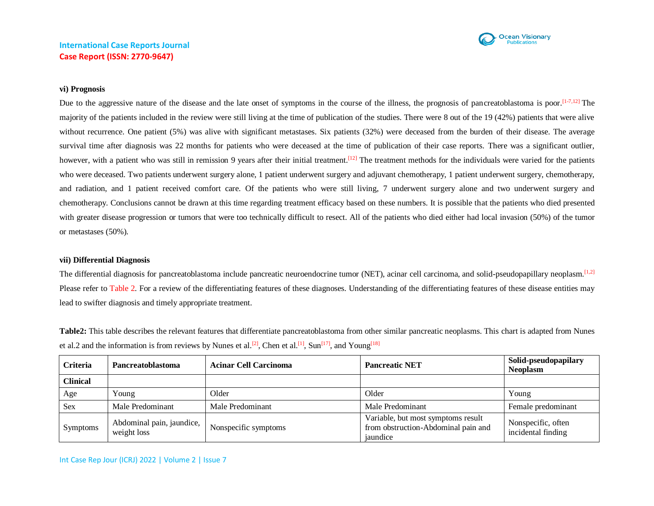

#### **vi) Prognosis**

Due to the aggressive nature of the disease and the late onset of symptoms in the course of the illness, the prognosis of pancreatoblastoma is poor.<sup>[1-7,12]</sup> The majority of the patients included in the review were still living at the time of publication of the studies. There were 8 out of the 19 (42%) patients that were alive without recurrence. One patient (5%) was alive with significant metastases. Six patients (32%) were deceased from the burden of their disease. The average survival time after diagnosis was 22 months for patients who were deceased at the time of publication of their case reports. There was a significant outlier, however, with a patient who was still in remission 9 years after their initial treatment.<sup>[12]</sup> The treatment methods for the individuals were varied for the patients who were deceased. Two patients underwent surgery alone, 1 patient underwent surgery and adjuvant chemotherapy, 1 patient underwent surgery, chemotherapy, and radiation, and 1 patient received comfort care. Of the patients who were still living, 7 underwent surgery alone and two underwent surgery and chemotherapy. Conclusions cannot be drawn at this time regarding treatment efficacy based on these numbers. It is possible that the patients who died presented with greater disease progression or tumors that were too technically difficult to resect. All of the patients who died either had local invasion (50%) of the tumor or metastases (50%).

#### **vii) Differential Diagnosis**

The differential diagnosis for pancreatoblastoma include pancreatic neuroendocrine tumor (NET), acinar cell carcinoma, and solid-pseudopapillary neoplasm.<sup>[1,2]</sup> Please refer to Table 2. For a review of the differentiating features of these diagnoses. Understanding of the differentiating features of these disease entities may lead to swifter diagnosis and timely appropriate treatment.

**Table2:** This table describes the relevant features that differentiate pancreatoblastoma from other similar pancreatic neoplasms. This chart is adapted from Nunes et al.2 and the information is from reviews by Nunes et al.<sup>[2]</sup>, Chen et al.<sup>[1]</sup>, Sun<sup>[17]</sup>, and Young<sup>[18]</sup>

| <b>Criteria</b> | <b>Pancreatoblastoma</b>                 | <b>Acinar Cell Carcinoma</b> | <b>Pancreatic NET</b>                                                                 | Solid-pseudopapilary<br><b>Neoplasm</b>  |
|-----------------|------------------------------------------|------------------------------|---------------------------------------------------------------------------------------|------------------------------------------|
| <b>Clinical</b> |                                          |                              |                                                                                       |                                          |
| Age             | Young                                    | Older                        | Older                                                                                 | Young                                    |
| <b>Sex</b>      | Male Predominant                         | Male Predominant             | Male Predominant                                                                      | Female predominant                       |
| <b>Symptoms</b> | Abdominal pain, jaundice,<br>weight loss | Nonspecific symptoms         | Variable, but most symptoms result<br>from obstruction-Abdominal pain and<br>jaundice | Nonspecific, often<br>incidental finding |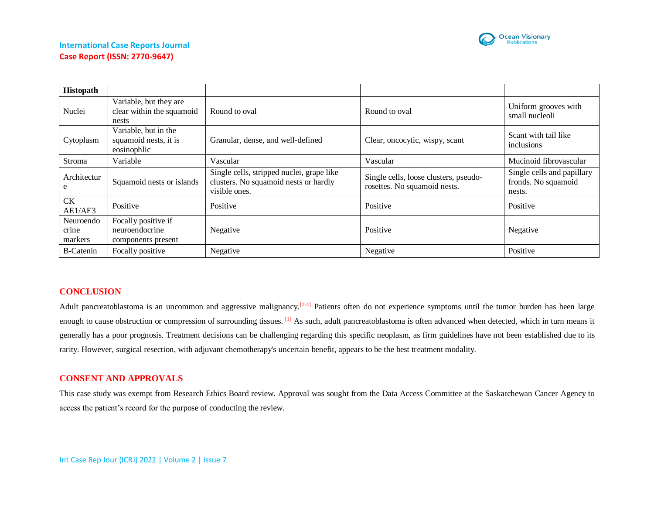

| <b>Histopath</b>              |                                                              |                                                                                                     |                                                                       |                                                             |
|-------------------------------|--------------------------------------------------------------|-----------------------------------------------------------------------------------------------------|-----------------------------------------------------------------------|-------------------------------------------------------------|
| Nuclei                        | Variable, but they are<br>clear within the squamoid<br>nests | Round to oval                                                                                       | Round to oval                                                         | Uniform grooves with<br>small nucleoli                      |
| Cytoplasm                     | Variable, but in the<br>squamoid nests, it is<br>eosinophlic | Granular, dense, and well-defined                                                                   | Clear, oncocytic, wispy, scant                                        | Scant with tail like<br>inclusions                          |
| Stroma                        | Variable                                                     | Vascular                                                                                            | Vascular                                                              | Mucinoid fibrovascular                                      |
| Architectur<br>e              | Squamoid nests or islands                                    | Single cells, stripped nuclei, grape like<br>clusters. No squamoid nests or hardly<br>visible ones. | Single cells, loose clusters, pseudo-<br>rosettes. No squamoid nests. | Single cells and papillary<br>fronds. No squamoid<br>nests. |
| <b>CK</b><br>AE1/AE3          | Positive                                                     | Positive                                                                                            | Positive                                                              | Positive                                                    |
| Neuroendo<br>crine<br>markers | Focally positive if<br>neuroendocrine<br>components present  | Negative                                                                                            | Positive                                                              | Negative                                                    |
| <b>B-Catenin</b>              | Focally positive                                             | Negative                                                                                            | Negative                                                              | Positive                                                    |

## **CONCLUSION**

Adult pancreatoblastoma is an uncommon and aggressive malignancy.<sup>[1-4]</sup> Patients often do not experience symptoms until the tumor burden has been large enough to cause obstruction or compression of surrounding tissues.  $\left[1\right]$  As such, adult pancreatoblastoma is often advanced when detected, which in turn means it generally has a poor prognosis. Treatment decisions can be challenging regarding this specific neoplasm, as firm guidelines have not been established due to its rarity. However, surgical resection, with adjuvant chemotherapy's uncertain benefit, appears to be the best treatment modality.

## **CONSENT AND APPROVALS**

This case study was exempt from Research Ethics Board review. Approval was sought from the Data Access Committee at the Saskatchewan Cancer Agency to access the patient's record for the purpose of conducting the review.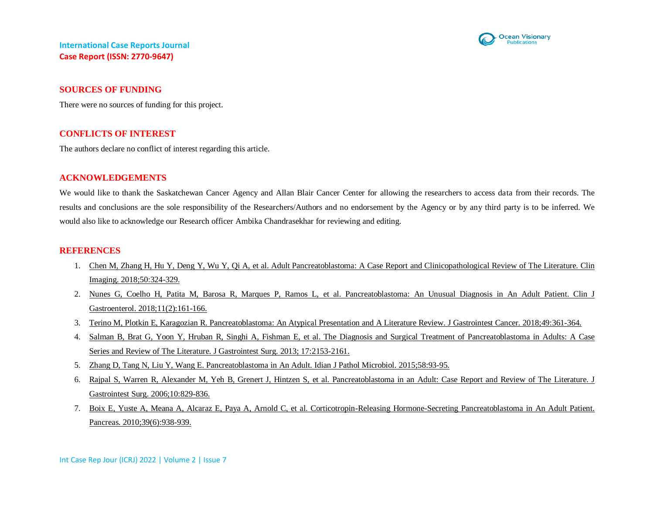

### **SOURCES OF FUNDING**

There were no sources of funding for this project.

## **CONFLICTS OF INTEREST**

The authors declare no conflict of interest regarding this article.

### **ACKNOWLEDGEMENTS**

We would like to thank the Saskatchewan Cancer Agency and Allan Blair Cancer Center for allowing the researchers to access data from their records. The results and conclusions are the sole responsibility of the Researchers/Authors and no endorsement by the Agency or by any third party is to be inferred. We would also like to acknowledge our Research officer Ambika Chandrasekhar for reviewing and editing.

#### **REFERENCES**

- 1. [Chen M, Zhang H, Hu Y, Deng Y, Wu Y, Qi A, et al. Adult Pancreatoblastoma: A Case Report](https://pubmed.ncbi.nlm.nih.gov/29753278/) and Clinicopathological Review of The Literature. Clin [Imaging. 2018;50:324-329.](https://pubmed.ncbi.nlm.nih.gov/29753278/)
- 2. [Nunes G, Coelho H, Patita M, Barosa R, Marques P, Ramos L, et al. Pancreatoblastoma: An Unusual Diagnosis](https://pubmed.ncbi.nlm.nih.gov/29285688/) in An Adult Patient. Clin J [Gastroenterol. 2018;11\(2\):161-166.](https://pubmed.ncbi.nlm.nih.gov/29285688/)
- 3. [Terino M, Plotkin E, Karagozian R. Pancreatoblastoma: An Atypical Presentation and A Literature Review. J Gastrointest Cancer. 2018;49:361-364.](https://pubmed.ncbi.nlm.nih.gov/28194556/)
- 4. [Salman B, Brat G, Yoon Y, Hruban R, Singhi A, Fishman E, et al. The Diagnosis and Surgical Treatment of Pancreatoblastoma](https://pubmed.ncbi.nlm.nih.gov/24081396/) in Adults: A Case Series and Review of The Literature. [J Gastrointest Surg. 2013; 17:2153-2161.](https://pubmed.ncbi.nlm.nih.gov/24081396/)
- 5. [Zhang D, Tang N, Liu Y, Wang E. Pancreatoblastoma in An Adult. Idian J Pathol Microbiol. 2015;58:93-95.](https://pubmed.ncbi.nlm.nih.gov/25673604/)
- 6. [Rajpal S, Warren R, Alexander M, Yeh B, Grenert J, Hintzen S, et al. Pancreatoblastoma in an Adult: Case Report and Review](https://pubmed.ncbi.nlm.nih.gov/16769539/) of The Literature. J [Gastrointest Surg. 2006;10:829-836.](https://pubmed.ncbi.nlm.nih.gov/16769539/)
- 7. [Boix E, Yuste A, Meana A, Alcaraz E, Paya A, Arnold C, et al. Corticotropin-Releasing Hormone-Secreting Pancreatoblastoma](https://pubmed.ncbi.nlm.nih.gov/20664482/) in An Adult Patient. [Pancreas. 2010;39\(6\):938-939.](https://pubmed.ncbi.nlm.nih.gov/20664482/)